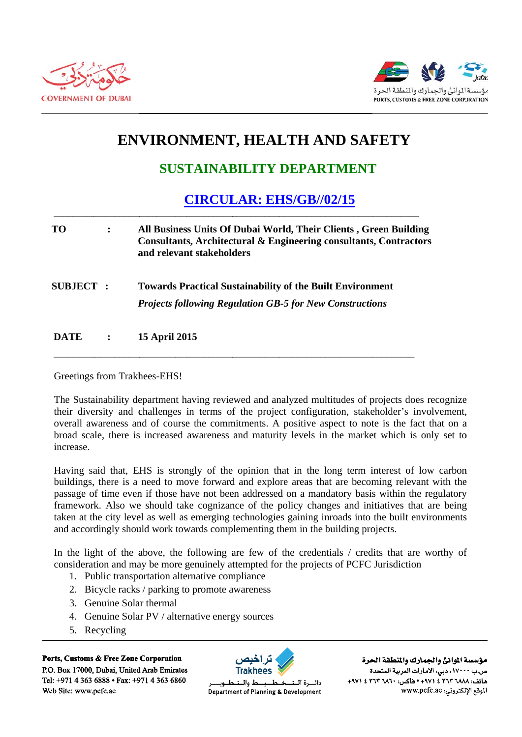



## **ENVIRONMENT, HEALTH AND SAFETY**

## **SUSTAINABILITY DEPARTMENT**

## **CIRCULAR: EHS/GB//02/15**

| TО               |         | All Business Units Of Dubai World, Their Clients, Green Building<br>Consultants, Architectural & Engineering consultants, Contractors<br>and relevant stakeholders |
|------------------|---------|--------------------------------------------------------------------------------------------------------------------------------------------------------------------|
| <b>SUBJECT :</b> |         | <b>Towards Practical Sustainability of the Built Environment</b><br><b>Projects following Regulation GB-5 for New Constructions</b>                                |
| <b>DATE</b>      | $\cdot$ | <b>15 April 2015</b>                                                                                                                                               |

Greetings from Trakhees-EHS!

The Sustainability department having reviewed and analyzed multitudes of projects does recognize their diversity and challenges in terms of the project configuration, stakeholder's involvement, overall awareness and of course the commitments. A positive aspect to note is the fact that on a broad scale, there is increased awareness and maturity levels in the market which is only set to increase.

Having said that, EHS is strongly of the opinion that in the long term interest of low carbon buildings, there is a need to move forward and explore areas that are becoming relevant with the passage of time even if those have not been addressed on a mandatory basis within the regulatory framework. Also we should take cognizance of the policy changes and initiatives that are being taken at the city level as well as emerging technologies gaining inroads into the built environments and accordingly should work towards complementing them in the building projects.

In the light of the above, the following are few of the credentials / credits that are worthy of consideration and may be more genuinely attempted for the projects of PCFC Jurisdiction

- 1. Public transportation alternative compliance
- 2. Bicycle racks / parking to promote awareness
- 3. Genuine Solar thermal
- 4. Genuine Solar PV / alternative energy sources
- 5. Recycling

Ports, Customs & Free Zone Corporation P.O. Box 17000, Dubai, United Arab Emirates Tel: +971 4 363 6888 • Fax: +971 4 363 6860 Web Site: www.pcfc.ae



ط والــتـ دائسرة اللت Department of Planning & Development

مؤسسة الموانئ والجمارك والنطقة الحرة ص.ب ١٧٠٠٠، دبي، الأمارات العربية المتحدة هاتف: ٢٦٨٨ ٣٦٣ ٢ ٤ ٤٧١ ٠ هاكس: ٢٦٢٠ ٢ ٢٦٣ ٤ ٤٧١١ الموقع الإلكتروني: www.pcfc.ae